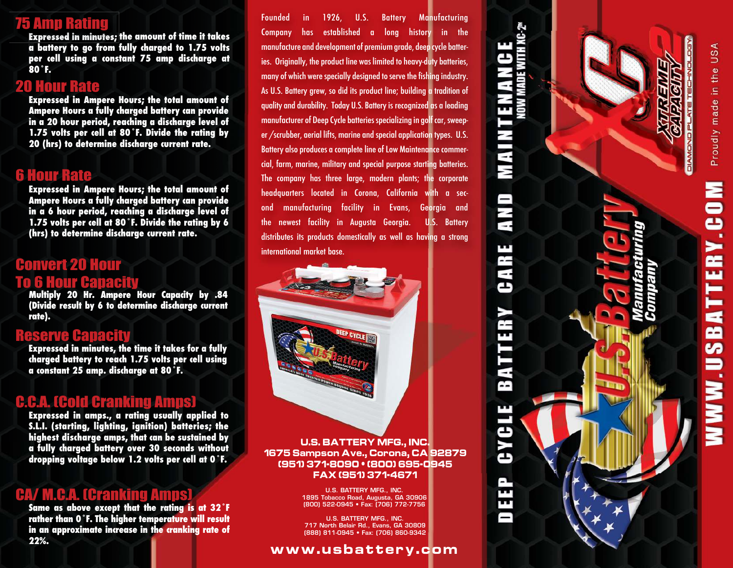# 75 Amp Rating

**Expressed in minutes; the amount of time it takes a battery to go from fully charged to 1.75 volts per cell using a constant 75 amp discharge at 80˚F.**

#### 20 Hour Rate

**Expressed in Ampere Hours; the total amount of Ampere Hours a fully charged battery can provide in a 20 hour period, reaching a discharge level of 1.75 volts per cell at 80˚F. Divide the rating by 20 (hrs) to determine discharge current rate.**

## 6 Hour Rate

**Expressed in Ampere Hours; the total amount of Ampere Hours a fully charged battery can provide in a 6 hour period, reaching a discharge level of 1.75 volts per cell at 80˚F. Divide the rating by 6 (hrs) to determine discharge current rate.**

# Convert 20 Hour **To Hour Capacity**

**Multiply 20 Hr. Ampere Hour Capacity by .84 (Divide result by 6 to determine discharge current rate).**

#### **Ranacity**

**Expressed in minutes, the time it takes for a fully charged battery to reach 1.75 volts per cell using a constant 25 amp. discharge at 80˚F.**

#### C.C.A. (Cold Cranking Amps)

**Expressed in amps., a rating usually applied to S.L.I. (starting, lighting, ignition) batteries; the highest discharge amps, that can be sustained by a fully charged battery over 30 seconds without dropping voltage below 1.2 volts per cell at 0˚F.**

## CA/ M.C.A. (Cranking Amp

**Same as above except that the rating is at 32˚F rather than 0˚F. The higher temperature will result in an approximate increase in the cranking rate of 22%.**

Founded in 1926, U.S. Battery Manufacturing Company has established a long history in the manufacture and development of premium grade, deep cycle batteries. Originally, the product line was limited to heavy-duty batteries, many of which were specially designed to serve the fishing industry. As U.S. Battery grew, so did its product line; building a tradition of quality and durability. Today U.S. Battery is recognized as a leading manufacturer of Deep Cycle batteries specializing in golf car, sweeper /scrubber, aerial lifts, marine and special application types. U.S. Battery also produces a complete line of Low Maintenance commercial, farm, marine, military and special purpose starting batteries. The company has three large, modern plants; the corporate headquarters located in Corona, California with a second manufacturing facility in Evans, Georgia and the newest facility in Augusta Georgia. U.S. Battery distributes its products domestically as well as having a strong international market base.

**U.S. BATTERY MFG., INC. 1675 Sampson Ave., Corona, CA 92879 (951) 371-8090 • (800) 695-0945 FAX (951) 371-4671**

> U.S. BATTERY MFG., INC. 1895 Tobacco Road, Augusta, GA 30906 (800) 522-0945 • Fax: (706) 772-7756

> U.S. BATTERY MFG., INC. 717 North Belair Rd., Evans, GA 30809 (888) 811-0945 • Fax: (706) 860-9342

#### **www.usbattery.com**

# **MAINTENANCE** Ξ M ш æ Ξ Œ 54 ш د  $\blacktriangleright$ ك

æ ш

ш ⊨  $\mathbf{a}$ œ S ∍

 $\blacksquare$  $\blacktriangleright$